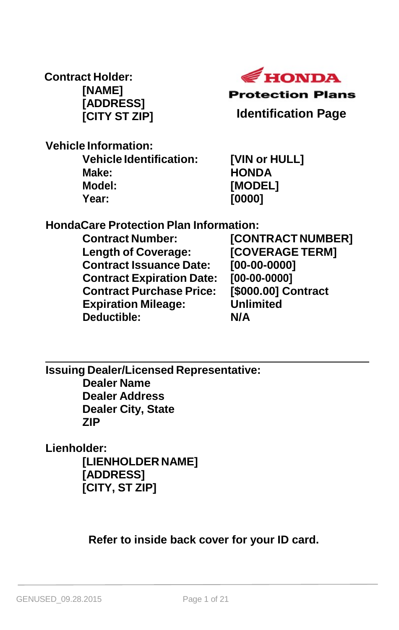**Contract Holder: [NAME] [ADDRESS] [CITY ST ZIP]**



**Vehicle Information:**

**Vehicle Identification: [VIN or HULL] Make: HONDA Year: [0000]**

**Model: [MODEL]**

## **HondaCare Protection Plan Information:**

**Contract Number: [CONTRACT NUMBER] Length of Coverage:** [COVERAGE<br> **Contract Issuance Date: [00-00-0000] Contract Issuance Date: [00-00-0000] Contract Expiration Date: [00-00-0000] Contract Purchase Price: [\$000.00] Contract Expiration Mileage: Unlimited** Unlimited Deductible:

**Issuing Dealer/Licensed Representative: Dealer Name Dealer Address Dealer City, State ZIP**

**Lienholder:**

**[LIENHOLDER NAME] [ADDRESS] [CITY, ST ZIP]**

**Refer to inside back cover for your ID card.**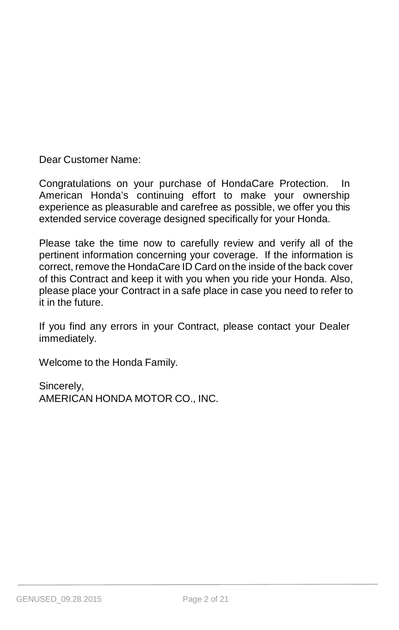Dear Customer Name:

Congratulations on your purchase of HondaCare Protection. In American Honda's continuing effort to make your ownership experience as pleasurable and carefree as possible, we offer you this extended service coverage designed specifically for your Honda.

Please take the time now to carefully review and verify all of the pertinent information concerning your coverage. If the information is correct, remove the HondaCare ID Card on the inside of the back cover of this Contract and keep it with you when you ride your Honda. Also, please place your Contract in a safe place in case you need to refer to it in the future.

If you find any errors in your Contract, please contact your Dealer immediately.

Welcome to the Honda Family.

Sincerely, AMERICAN HONDA MOTOR CO., INC.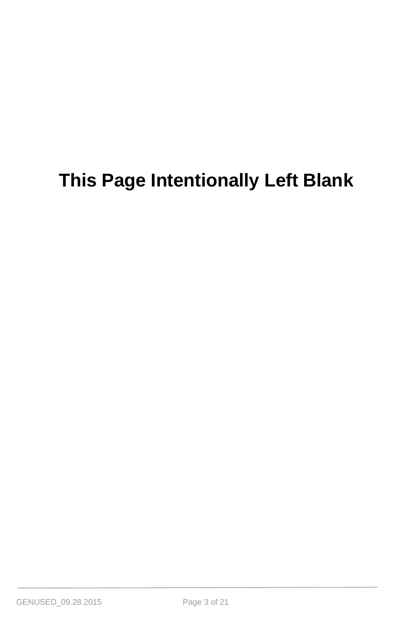# **This Page Intentionally Left Blank**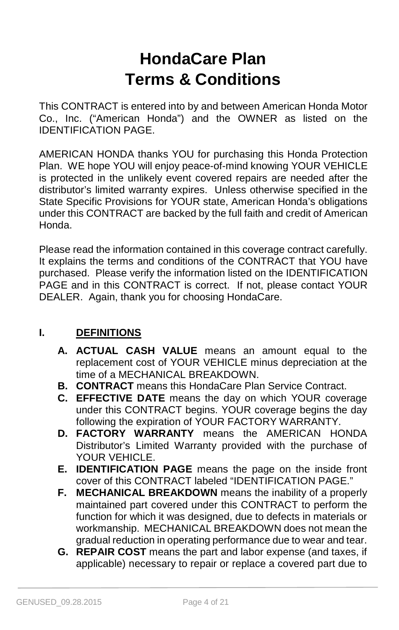## **HondaCare Plan Terms & Conditions**

This CONTRACT is entered into by and between American Honda Motor Co., Inc. ("American Honda") and the OWNER as listed on the IDENTIFICATION PAGE.

AMERICAN HONDA thanks YOU for purchasing this Honda Protection Plan. WE hope YOU will enjoy peace-of-mind knowing YOUR VEHICLE is protected in the unlikely event covered repairs are needed after the distributor's limited warranty expires. Unless otherwise specified in the State Specific Provisions for YOUR state, American Honda's obligations under this CONTRACT are backed by the full faith and credit of American Honda.

Please read the information contained in this coverage contract carefully. It explains the terms and conditions of the CONTRACT that YOU have purchased. Please verify the information listed on the IDENTIFICATION PAGE and in this CONTRACT is correct. If not, please contact YOUR DEALER. Again, thank you for choosing HondaCare.

## **I. DEFINITIONS**

- **A. ACTUAL CASH VALUE** means an amount equal to the replacement cost of YOUR VEHICLE minus depreciation at the time of a MECHANICAL BREAKDOWN.
- **B. CONTRACT** means this HondaCare Plan Service Contract.
- **C. EFFECTIVE DATE** means the day on which YOUR coverage under this CONTRACT begins. YOUR coverage begins the day following the expiration of YOUR FACTORY WARRANTY.
- **D. FACTORY WARRANTY** means the AMERICAN HONDA Distributor's Limited Warranty provided with the purchase of YOUR VEHICLE.
- **E. IDENTIFICATION PAGE** means the page on the inside front cover of this CONTRACT labeled "IDENTIFICATION PAGE."
- **F. MECHANICAL BREAKDOWN** means the inability of a properly maintained part covered under this CONTRACT to perform the function for which it was designed, due to defects in materials or workmanship. MECHANICAL BREAKDOWN does not mean the gradual reduction in operating performance due to wear and tear.
- **G. REPAIR COST** means the part and labor expense (and taxes, if applicable) necessary to repair or replace a covered part due to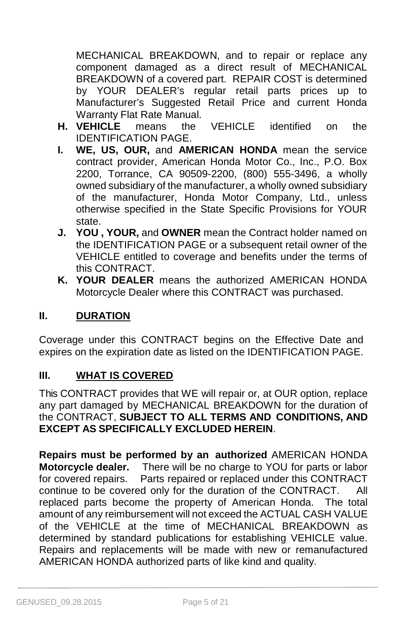MECHANICAL BREAKDOWN, and to repair or replace any component damaged as a direct result of MECHANICAL BREAKDOWN of a covered part. REPAIR COST is determined by YOUR DEALER's regular retail parts prices up to Manufacturer's Suggested Retail Price and current Honda Warranty Flat Rate Manual.

- **H. VEHICLE** means the VEHICLE identified on the IDENTIFICATION PAGE.
- **I. WE, US, OUR,** and **AMERICAN HONDA** mean the service contract provider, American Honda Motor Co., Inc., P.O. Box 2200, Torrance, CA 90509-2200, (800) 555-3496, a wholly owned subsidiary of the manufacturer, a wholly owned subsidiary of the manufacturer, Honda Motor Company, Ltd., unless otherwise specified in the State Specific Provisions for YOUR state.
- **J. YOU , YOUR,** and **OWNER** mean the Contract holder named on the IDENTIFICATION PAGE or a subsequent retail owner of the VEHICLE entitled to coverage and benefits under the terms of this CONTRACT.
- **K. YOUR DEALER** means the authorized AMERICAN HONDA Motorcycle Dealer where this CONTRACT was purchased.

## **II. DURATION**

Coverage under this CONTRACT begins on the Effective Date and expires on the expiration date as listed on the IDENTIFICATION PAGE.

## **III. WHAT IS COVERED**

This CONTRACT provides that WE will repair or, at OUR option, replace any part damaged by MECHANICAL BREAKDOWN for the duration of the CONTRACT, **SUBJECT TO ALL TERMS AND CONDITIONS, AND EXCEPT AS SPECIFICALLY EXCLUDED HEREIN**.

**Repairs must be performed by an authorized** AMERICAN HONDA **Motorcycle dealer.** There will be no charge to YOU for parts or labor for covered repairs. Parts repaired or replaced under this CONTRACT continue to be covered only for the duration of the CONTRACT. All replaced parts become the property of American Honda. The total amount of any reimbursement will not exceed the ACTUAL CASH VALUE of the VEHICLE at the time of MECHANICAL BREAKDOWN as determined by standard publications for establishing VEHICLE value. Repairs and replacements will be made with new or remanufactured AMERICAN HONDA authorized parts of like kind and quality.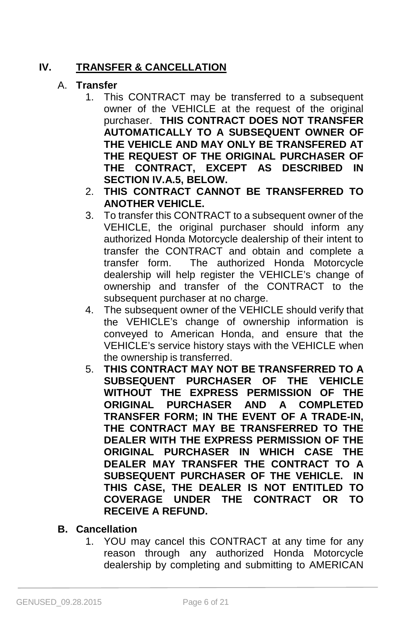## **IV. TRANSFER & CANCELLATION**

## A. **Transfer**

- 1. This CONTRACT may be transferred to a subsequent owner of the VEHICLE at the request of the original purchaser. **THIS CONTRACT DOES NOT TRANSFER AUTOMATICALLY TO A SUBSEQUENT OWNER OF THE VEHICLE AND MAY ONLY BE TRANSFERED AT THE REQUEST OF THE ORIGINAL PURCHASER OF THE CONTRACT, EXCEPT AS DESCRIBED IN SECTION IV.A.5, BELOW.**
- 2. **THIS CONTRACT CANNOT BE TRANSFERRED TO ANOTHER VEHICLE.**
- 3. To transfer this CONTRACT to a subsequent owner of the VEHICLE, the original purchaser should inform any authorized Honda Motorcycle dealership of their intent to transfer the CONTRACT and obtain and complete a transfer form. The authorized Honda Motorcycle dealership will help register the VEHICLE's change of ownership and transfer of the CONTRACT to the subsequent purchaser at no charge.
- 4. The subsequent owner of the VEHICLE should verify that the VEHICLE's change of ownership information is conveyed to American Honda, and ensure that the VEHICLE's service history stays with the VEHICLE when the ownership is transferred.
- 5. **THIS CONTRACT MAY NOT BE TRANSFERRED TO A SUBSEQUENT PURCHASER OF THE VEHICLE WITHOUT THE EXPRESS PERMISSION OF THE PURCHASER TRANSFER FORM; IN THE EVENT OF A TRADE-IN, THE CONTRACT MAY BE TRANSFERRED TO THE DEALER WITH THE EXPRESS PERMISSION OF THE ORIGINAL PURCHASER IN WHICH CASE THE DEALER MAY TRANSFER THE CONTRACT TO A SUBSEQUENT PURCHASER OF THE VEHICLE. IN THIS CASE, THE DEALER IS NOT ENTITLED TO COVERAGE UNDER THE CONTRACT OR TO RECEIVE A REFUND.**

## **B. Cancellation**

1. YOU may cancel this CONTRACT at any time for any reason through any authorized Honda Motorcycle dealership by completing and submitting to AMERICAN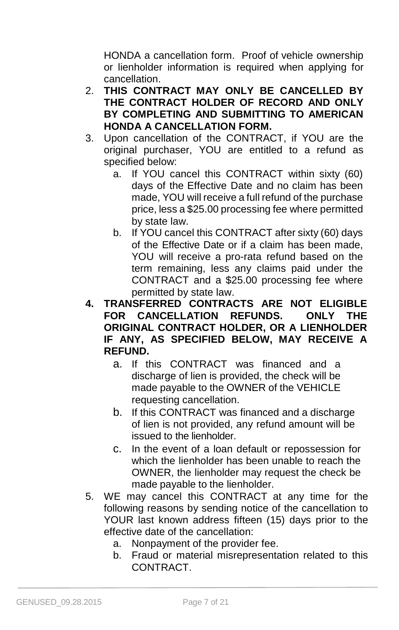HONDA a cancellation form. Proof of vehicle ownership or lienholder information is required when applying for cancellation.

- 2. **THIS CONTRACT MAY ONLY BE CANCELLED BY THE CONTRACT HOLDER OF RECORD AND ONLY BY COMPLETING AND SUBMITTING TO AMERICAN HONDA A CANCELLATION FORM.**
- 3. Upon cancellation of the CONTRACT, if YOU are the original purchaser, YOU are entitled to a refund as specified below:
	- a. If YOU cancel this CONTRACT within sixty (60) days of the Effective Date and no claim has been made, YOU will receive a full refund of the purchase price, less a \$25.00 processing fee where permitted by state law.
	- b. If YOU cancel this CONTRACT after sixty (60) days of the Effective Date or if a claim has been made, YOU will receive a pro-rata refund based on the term remaining, less any claims paid under the CONTRACT and a \$25.00 processing fee where permitted by state law.
- **4. TRANSFERRED CONTRACTS ARE NOT ELIGIBLE FOR CANCELLATION REFUNDS. ONLY THE ORIGINAL CONTRACT HOLDER, OR A LIENHOLDER IF ANY, AS SPECIFIED BELOW, MAY RECEIVE A REFUND.**
	- a. If this CONTRACT was financed and a discharge of lien is provided, the check will be made payable to the OWNER of the VEHICLE requesting cancellation.
	- b. If this CONTRACT was financed and a discharge of lien is not provided, any refund amount will be issued to the lienholder.
	- c. In the event of a loan default or repossession for which the lienholder has been unable to reach the OWNER, the lienholder may request the check be made payable to the lienholder.
- 5. WE may cancel this CONTRACT at any time for the following reasons by sending notice of the cancellation to YOUR last known address fifteen (15) days prior to the effective date of the cancellation:
	- a. Nonpayment of the provider fee.
	- b. Fraud or material misrepresentation related to this **CONTRACT**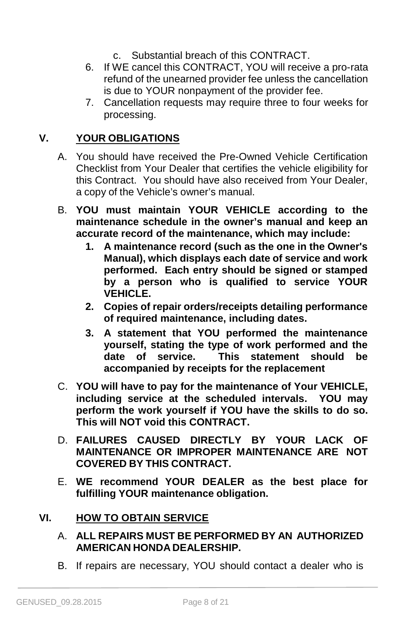- c. Substantial breach of this CONTRACT.
- 6. If WE cancel this CONTRACT, YOU will receive a pro-rata refund of the unearned provider fee unless the cancellation is due to YOUR nonpayment of the provider fee.
- 7. Cancellation requests may require three to four weeks for processing.

## **V. YOUR OBLIGATIONS**

- A. You should have received the Pre-Owned Vehicle Certification Checklist from Your Dealer that certifies the vehicle eligibility for this Contract. You should have also received from Your Dealer, a copy of the Vehicle's owner's manual.
- B. **YOU must maintain YOUR VEHICLE according to the maintenance schedule in the owner's manual and keep an accurate record of the maintenance, which may include:**
	- **1. A maintenance record (such as the one in the Owner's Manual), which displays each date of service and work performed. Each entry should be signed or stamped by a person who is qualified to service YOUR VEHICLE.**
	- **2. Copies of repair orders/receipts detailing performance of required maintenance, including dates.**
	- **3. A statement that YOU performed the maintenance yourself, stating the type of work performed and the date of service. This statement should be accompanied by receipts for the replacement**
- C. **YOU will have to pay for the maintenance of Your VEHICLE, including service at the scheduled intervals. YOU may perform the work yourself if YOU have the skills to do so. This will NOT void this CONTRACT.**
- D. **FAILURES CAUSED DIRECTLY BY YOUR LACK OF MAINTENANCE OR IMPROPER MAINTENANCE ARE NOT COVERED BY THIS CONTRACT.**
- E. **WE recommend YOUR DEALER as the best place for fulfilling YOUR maintenance obligation.**

### **VI. HOW TO OBTAIN SERVICE**

- A. **ALL REPAIRS MUST BE PERFORMED BY AN AUTHORIZED AMERICAN HONDA DEALERSHIP.**
- B. If repairs are necessary, YOU should contact a dealer who is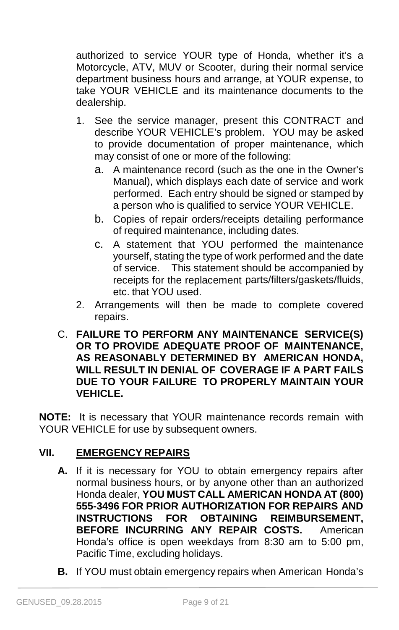authorized to service YOUR type of Honda, whether it's a Motorcycle, ATV, MUV or Scooter, during their normal service department business hours and arrange, at YOUR expense, to take YOUR VEHICLE and its maintenance documents to the dealership.

- 1. See the service manager, present this CONTRACT and describe YOUR VEHICLE's problem. YOU may be asked to provide documentation of proper maintenance, which may consist of one or more of the following:
	- a. A maintenance record (such as the one in the Owner's Manual), which displays each date of service and work performed. Each entry should be signed or stamped by a person who is qualified to service YOUR VEHICLE.
	- b. Copies of repair orders/receipts detailing performance of required maintenance, including dates.
	- c. A statement that YOU performed the maintenance yourself, stating the type of work performed and the date of service. This statement should be accompanied by receipts for the replacement parts/filters/gaskets/fluids, etc. that YOU used.
- 2. Arrangements will then be made to complete covered repairs.
- C. **FAILURE TO PERFORM ANY MAINTENANCE SERVICE(S) OR TO PROVIDE ADEQUATE PROOF OF MAINTENANCE, AS REASONABLY DETERMINED BY AMERICAN HONDA, WILL RESULT IN DENIAL OF COVERAGE IF A PART FAILS DUE TO YOUR FAILURE TO PROPERLY MAINTAIN YOUR VEHICLE.**

**NOTE:** It is necessary that YOUR maintenance records remain with YOUR VEHICLE for use by subsequent owners.

## **VII. EMERGENCY REPAIRS**

- **A.** If it is necessary for YOU to obtain emergency repairs after normal business hours, or by anyone other than an authorized Honda dealer, **YOU MUST CALL AMERICAN HONDA AT (800) 555-3496 FOR PRIOR AUTHORIZATION FOR REPAIRS AND INSTRUCTIONS FOR OBTAINING REIMBURSEMENT, BEFORE INCURRING ANY REPAIR COSTS.** American Honda's office is open weekdays from 8:30 am to 5:00 pm, Pacific Time, excluding holidays.
- **B.** If YOU must obtain emergency repairs when American Honda's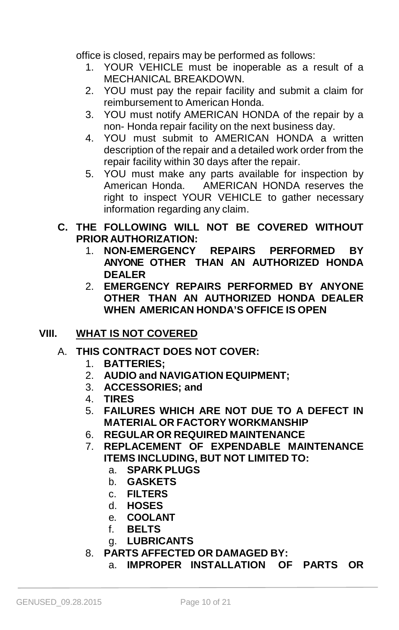office is closed, repairs may be performed as follows:

- 1. YOUR VEHICLE must be inoperable as a result of a MECHANICAL BREAKDOWN.
- 2. YOU must pay the repair facility and submit a claim for reimbursement to American Honda.
- 3. YOU must notify AMERICAN HONDA of the repair by a non- Honda repair facility on the next business day.
- 4. YOU must submit to AMERICAN HONDA a written description of the repair and a detailed work order from the repair facility within 30 days after the repair.
- 5. YOU must make any parts available for inspection by American Honda. AMERICAN HONDA reserves the right to inspect YOUR VEHICLE to gather necessary information regarding any claim.
- **C. THE FOLLOWING WILL NOT BE COVERED WITHOUT PRIOR AUTHORIZATION:**
	- 1. **NON-EMERGENCY REPAIRS PERFORMED BY ANYONE OTHER THAN AN AUTHORIZED HONDA DEALER**
	- 2. **EMERGENCY REPAIRS PERFORMED BY ANYONE OTHER THAN AN AUTHORIZED HONDA DEALER WHEN AMERICAN HONDA'S OFFICE IS OPEN**

## **VIII. WHAT IS NOT COVERED**

- A. **THIS CONTRACT DOES NOT COVER:**
	- 1. **BATTERIES;**
	- 2. **AUDIO and NAVIGATION EQUIPMENT;**
	- 3. **ACCESSORIES; and**
	- 4. **TIRES**
	- 5. **FAILURES WHICH ARE NOT DUE TO A DEFECT IN MATERIAL OR FACTORY WORKMANSHIP**
	- 6. **REGULAR OR REQUIRED MAINTENANCE**
	- 7. **REPLACEMENT OF EXPENDABLE MAINTENANCE ITEMS INCLUDING, BUT NOT LIMITED TO:**
		- a. **SPARK PLUGS**
		- b. **GASKETS**
		- c. **FILTERS**
		- d. **HOSES**
		- e. **COOLANT**
		- f. **BELTS**
		- g. **LUBRICANTS**
	- 8. **PARTS AFFECTED OR DAMAGED BY:**
		- a. **IMPROPER INSTALLATION OF PARTS OR**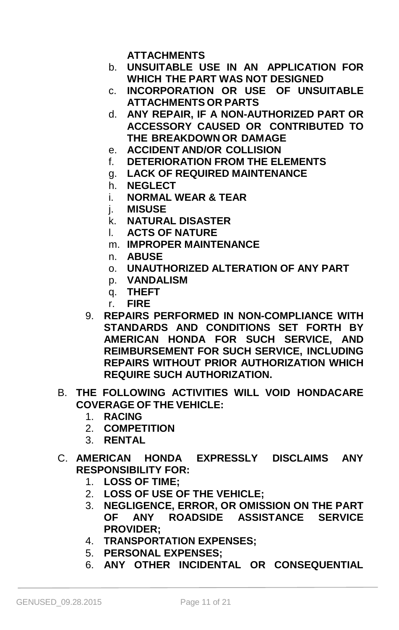**ATTACHMENTS**

- b. **UNSUITABLE USE IN AN APPLICATION FOR WHICH THE PART WAS NOT DESIGNED**
- c. **INCORPORATION OR USE OF UNSUITABLE ATTACHMENTS OR PARTS**
- d. **ANY REPAIR, IF A NON-AUTHORIZED PART OR ACCESSORY CAUSED OR CONTRIBUTED TO THE BREAKDOWN OR DAMAGE**
- e. **ACCIDENT AND/OR COLLISION**
- f. **DETERIORATION FROM THE ELEMENTS**
- g. **LACK OF REQUIRED MAINTENANCE**
- h. **NEGLECT**
- i. **NORMAL WEAR & TEAR**
- j. **MISUSE**
- k. **NATURAL DISASTER**
- l. **ACTS OF NATURE**
- m. **IMPROPER MAINTENANCE**
- n. **ABUSE**
- o. **UNAUTHORIZED ALTERATION OF ANY PART**
- p. **VANDALISM**
- q. **THEFT**
- r. **FIRE**
- 9. **REPAIRS PERFORMED IN NON-COMPLIANCE WITH STANDARDS AND CONDITIONS SET FORTH BY AMERICAN HONDA FOR SUCH SERVICE, AND REIMBURSEMENT FOR SUCH SERVICE, INCLUDING REPAIRS WITHOUT PRIOR AUTHORIZATION WHICH REQUIRE SUCH AUTHORIZATION.**
- B. **THE FOLLOWING ACTIVITIES WILL VOID HONDACARE COVERAGE OF THE VEHICLE:**
	- 1. **RACING**
	- 2. **COMPETITION**
	- 3. **RENTAL**
- C. **AMERICAN HONDA EXPRESSLY DISCLAIMS ANY RESPONSIBILITY FOR:**
	- 1. **LOSS OF TIME;**
	- 2. **LOSS OF USE OF THE VEHICLE;**
	- 3. **NEGLIGENCE, ERROR, OR OMISSION ON THE PART OF ANY ROADSIDE ASSISTANCE SERVICE PROVIDER;**
	- 4. **TRANSPORTATION EXPENSES;**
	- 5. **PERSONAL EXPENSES;**
	- 6. **ANY OTHER INCIDENTAL OR CONSEQUENTIAL**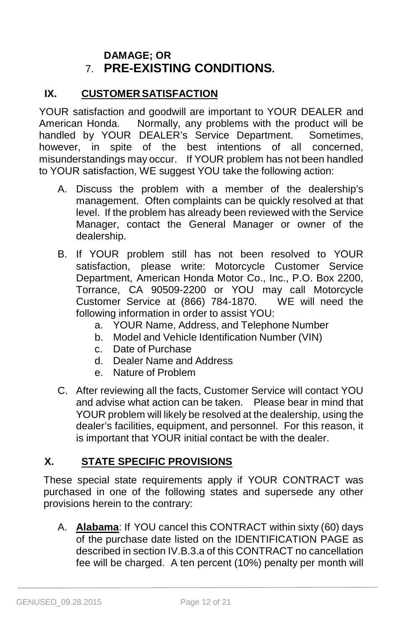## **DAMAGE; OR** 7. **PRE-EXISTING CONDITIONS.**

## **IX. CUSTOMER SATISFACTION**

YOUR satisfaction and goodwill are important to YOUR DEALER and American Honda. Normally, any problems with the product will be handled by YOUR DEALER's Service Department. Sometimes, however, in spite of the best intentions of all concerned, misunderstandings may occur. If YOUR problem has not been handled to YOUR satisfaction, WE suggest YOU take the following action:

- A. Discuss the problem with a member of the dealership's management. Often complaints can be quickly resolved at that level. If the problem has already been reviewed with the Service Manager, contact the General Manager or owner of the dealership.
- B. If YOUR problem still has not been resolved to YOUR satisfaction, please write: Motorcycle Customer Service Department, American Honda Motor Co., Inc., P.O. Box 2200, Torrance, CA 90509-2200 or YOU may call Motorcycle Customer Service at (866) 784-1870. following information in order to assist YOU:
	- a. YOUR Name, Address, and Telephone Number
	- b. Model and Vehicle Identification Number (VIN)
	- c. Date of Purchase
	- d. Dealer Name and Address
	- e. Nature of Problem
- C. After reviewing all the facts, Customer Service will contact YOU and advise what action can be taken. Please bear in mind that YOUR problem will likely be resolved at the dealership, using the dealer's facilities, equipment, and personnel. For this reason, it is important that YOUR initial contact be with the dealer.

## **X. STATE SPECIFIC PROVISIONS**

These special state requirements apply if YOUR CONTRACT was purchased in one of the following states and supersede any other provisions herein to the contrary:

A. **Alabama**: If YOU cancel this CONTRACT within sixty (60) days of the purchase date listed on the IDENTIFICATION PAGE as described in section IV.B.3.a of this CONTRACT no cancellation fee will be charged. A ten percent (10%) penalty per month will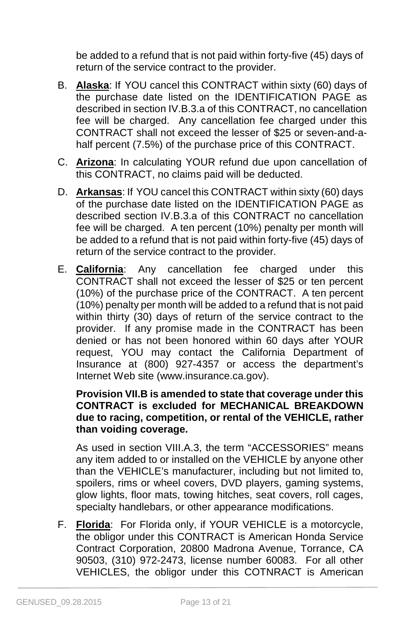be added to a refund that is not paid within forty-five (45) days of return of the service contract to the provider.

- B. **Alaska**: If YOU cancel this CONTRACT within sixty (60) days of the purchase date listed on the IDENTIFICATION PAGE as described in section IV.B.3.a of this CONTRACT, no cancellation fee will be charged. Any cancellation fee charged under this CONTRACT shall not exceed the lesser of \$25 or seven-and-ahalf percent (7.5%) of the purchase price of this CONTRACT.
- C. **Arizona**: In calculating YOUR refund due upon cancellation of this CONTRACT, no claims paid will be deducted.
- D. **Arkansas**: If YOU cancel this CONTRACT within sixty (60) days of the purchase date listed on the IDENTIFICATION PAGE as described section IV.B.3.a of this CONTRACT no cancellation fee will be charged. A ten percent (10%) penalty per month will be added to a refund that is not paid within forty-five (45) days of return of the service contract to the provider.
- E. **California**: Any cancellation fee charged under this CONTRACT shall not exceed the lesser of \$25 or ten percent (10%) of the purchase price of the CONTRACT. A ten percent (10%) penalty per month will be added to a refund that is not paid within thirty (30) days of return of the service contract to the provider. If any promise made in the CONTRACT has been denied or has not been honored within 60 days after YOUR request, YOU may contact the California Department of Insurance at (800) 927-4357 or access the department's Internet Web site (www.insurance.ca.gov).

## **Provision VII.B is amended to state that coverage under this CONTRACT is excluded for MECHANICAL BREAKDOWN due to racing, competition, or rental of the VEHICLE, rather than voiding coverage.**

As used in section VIII.A.3, the term "ACCESSORIES" means any item added to or installed on the VEHICLE by anyone other than the VEHICLE's manufacturer, including but not limited to, spoilers, rims or wheel covers, DVD players, gaming systems, glow lights, floor mats, towing hitches, seat covers, roll cages, specialty handlebars, or other appearance modifications.

F. **Florida**: For Florida only, if YOUR VEHICLE is a motorcycle, the obligor under this CONTRACT is American Honda Service Contract Corporation, 20800 Madrona Avenue, Torrance, CA 90503, (310) 972-2473, license number 60083. For all other VEHICLES, the obligor under this COTNRACT is American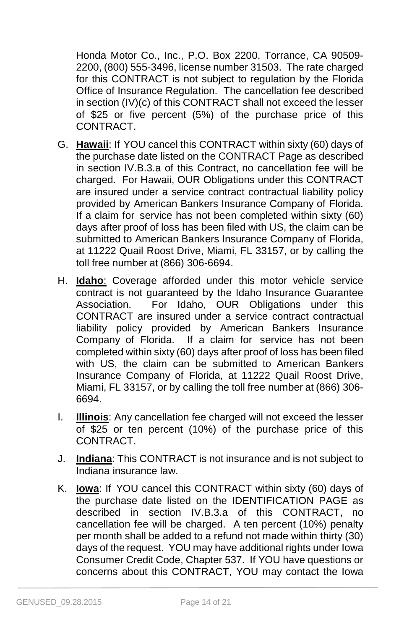Honda Motor Co., Inc., P.O. Box 2200, Torrance, CA 90509- 2200, (800) 555-3496, license number 31503. The rate charged for this CONTRACT is not subject to regulation by the Florida Office of Insurance Regulation.The cancellation fee described in section (IV)(c) of this CONTRACT shall not exceed the lesser of \$25 or five percent (5%) of the purchase price of this **CONTRACT** 

- G. **Hawaii**: If YOU cancel this CONTRACT within sixty (60) days of the purchase date listed on the CONTRACT Page as described in section IV.B.3.a of this Contract, no cancellation fee will be charged. For Hawaii, OUR Obligations under this CONTRACT are insured under a service contract contractual liability policy provided by American Bankers Insurance Company of Florida. If a claim for service has not been completed within sixty (60) days after proof of loss has been filed with US, the claim can be submitted to American Bankers Insurance Company of Florida, at 11222 Quail Roost Drive, Miami, FL 33157, or by calling the toll free number at (866) 306-6694.
- H. **Idaho**: Coverage afforded under this motor vehicle service contract is not guaranteed by the Idaho Insurance Guarantee Association. For Idaho, OUR Obligations under this CONTRACT are insured under a service contract contractual liability policy provided by American Bankers Insurance Company of Florida. If a claim for service has not been completed within sixty (60) days after proof of loss has been filed with US, the claim can be submitted to American Bankers Insurance Company of Florida, at 11222 Quail Roost Drive, Miami, FL 33157, or by calling the toll free number at (866) 306- 6694.
- I. **Illinois**: Any cancellation fee charged will not exceed the lesser of \$25 or ten percent (10%) of the purchase price of this CONTRACT.
- J. **Indiana**: This CONTRACT is not insurance and is not subject to Indiana insurance law.
- K. **Iowa**: If YOU cancel this CONTRACT within sixty (60) days of the purchase date listed on the IDENTIFICATION PAGE as described in section IV.B.3.a of this CONTRACT, no cancellation fee will be charged. A ten percent (10%) penalty per month shall be added to a refund not made within thirty (30) days of the request. YOU may have additional rights under Iowa Consumer Credit Code, Chapter 537. If YOU have questions or concerns about this CONTRACT, YOU may contact the Iowa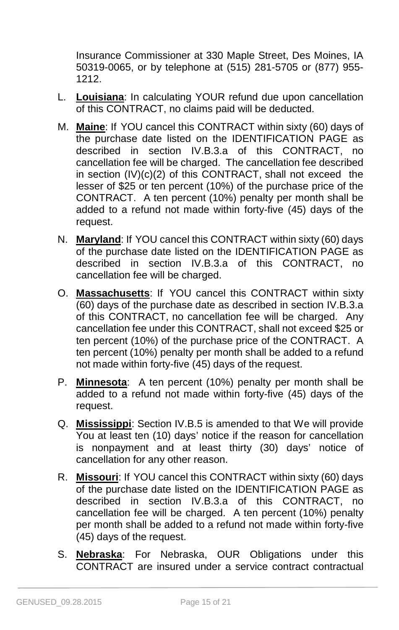Insurance Commissioner at 330 Maple Street, Des Moines, IA 50319-0065, or by telephone at (515) 281-5705 or (877) 955- 1212.

- L. **Louisiana**: In calculating YOUR refund due upon cancellation of this CONTRACT, no claims paid will be deducted.
- M. **Maine**: If YOU cancel this CONTRACT within sixty (60) days of the purchase date listed on the IDENTIFICATION PAGE as described in section IV.B.3.a of this CONTRACT, no cancellation fee will be charged. The cancellation fee described in section (IV)(c)(2) of this CONTRACT, shall not exceed the lesser of \$25 or ten percent (10%) of the purchase price of the CONTRACT. A ten percent (10%) penalty per month shall be added to a refund not made within forty-five (45) days of the request.
- N. **Maryland**: If YOU cancel this CONTRACT within sixty (60) days of the purchase date listed on the IDENTIFICATION PAGE as described in section IV.B.3.a of this CONTRACT, no cancellation fee will be charged.
- O. **Massachusetts**: If YOU cancel this CONTRACT within sixty (60) days of the purchase date as described in section IV.B.3.a of this CONTRACT, no cancellation fee will be charged. Any cancellation fee under this CONTRACT, shall not exceed \$25 or ten percent (10%) of the purchase price of the CONTRACT. A ten percent (10%) penalty per month shall be added to a refund not made within forty-five (45) days of the request.
- P. **Minnesota**: A ten percent (10%) penalty per month shall be added to a refund not made within forty-five (45) days of the request.
- Q. **Mississippi**: Section IV.B.5 is amended to that We will provide You at least ten (10) days' notice if the reason for cancellation is nonpayment and at least thirty (30) days' notice of cancellation for any other reason.
- R. **Missouri**: If YOU cancel this CONTRACT within sixty (60) days of the purchase date listed on the IDENTIFICATION PAGE as described in section IV.B.3.a of this CONTRACT, no cancellation fee will be charged. A ten percent (10%) penalty per month shall be added to a refund not made within forty-five (45) days of the request.
- S. **Nebraska**: For Nebraska, OUR Obligations under this CONTRACT are insured under a service contract contractual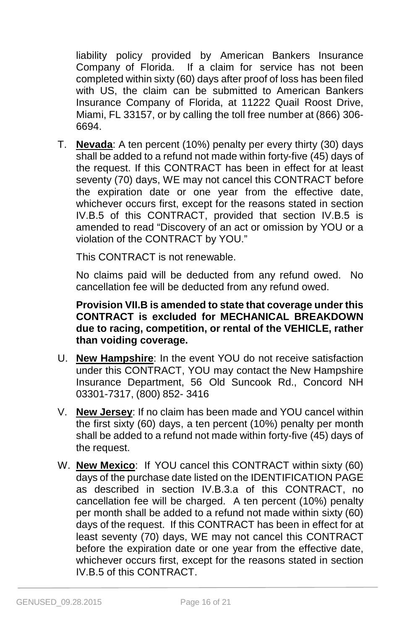liability policy provided by American Bankers Insurance Company of Florida. If a claim for service has not been completed within sixty (60) days after proof of loss has been filed with US, the claim can be submitted to American Bankers Insurance Company of Florida, at 11222 Quail Roost Drive, Miami, FL 33157, or by calling the toll free number at (866) 306- 6694.

T. **Nevada**: A ten percent (10%) penalty per every thirty (30) days shall be added to a refund not made within forty-five (45) days of the request. If this CONTRACT has been in effect for at least seventy (70) days, WE may not cancel this CONTRACT before the expiration date or one year from the effective date, whichever occurs first, except for the reasons stated in section IV.B.5 of this CONTRACT, provided that section IV.B.5 is amended to read "Discovery of an act or omission by YOU or a violation of the CONTRACT by YOU."

This CONTRACT is not renewable.

No claims paid will be deducted from any refund owed. No cancellation fee will be deducted from any refund owed.

**Provision VII.B is amended to state that coverage under this CONTRACT is excluded for MECHANICAL BREAKDOWN due to racing, competition, or rental of the VEHICLE, rather than voiding coverage.**

- U. **New Hampshire**: In the event YOU do not receive satisfaction under this CONTRACT, YOU may contact the New Hampshire Insurance Department, 56 Old Suncook Rd., Concord NH 03301-7317, (800) 852- 3416
- V. **New Jersey**: If no claim has been made and YOU cancel within the first sixty (60) days, a ten percent (10%) penalty per month shall be added to a refund not made within forty-five (45) days of the request.
- W. **New Mexico**: If YOU cancel this CONTRACT within sixty (60) days of the purchase date listed on the IDENTIFICATION PAGE as described in section IV.B.3.a of this CONTRACT, no cancellation fee will be charged. A ten percent (10%) penalty per month shall be added to a refund not made within sixty (60) days of the request. If this CONTRACT has been in effect for at least seventy (70) days, WE may not cancel this CONTRACT before the expiration date or one year from the effective date, whichever occurs first, except for the reasons stated in section IV.B.5 of this CONTRACT.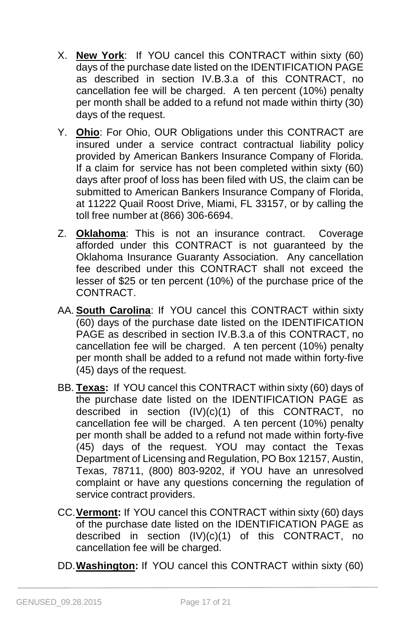- X. **New York**: If YOU cancel this CONTRACT within sixty (60) days of the purchase date listed on the IDENTIFICATION PAGE as described in section IV.B.3.a of this CONTRACT, no cancellation fee will be charged. A ten percent (10%) penalty per month shall be added to a refund not made within thirty (30) days of the request.
- Y. **Ohio**: For Ohio, OUR Obligations under this CONTRACT are insured under a service contract contractual liability policy provided by American Bankers Insurance Company of Florida. If a claim for service has not been completed within sixty (60) days after proof of loss has been filed with US, the claim can be submitted to American Bankers Insurance Company of Florida, at 11222 Quail Roost Drive, Miami, FL 33157, or by calling the toll free number at (866) 306-6694.
- Z. **Oklahoma**: This is not an insurance contract. Coverage afforded under this CONTRACT is not guaranteed by the Oklahoma Insurance Guaranty Association. Any cancellation fee described under this CONTRACT shall not exceed the lesser of \$25 or ten percent (10%) of the purchase price of the CONTRACT.
- AA. **South Carolina**: If YOU cancel this CONTRACT within sixty (60) days of the purchase date listed on the IDENTIFICATION PAGE as described in section IV.B.3.a of this CONTRACT, no cancellation fee will be charged. A ten percent (10%) penalty per month shall be added to a refund not made within forty-five (45) days of the request.
- BB. **Texas:** If YOU cancel this CONTRACT within sixty (60) days of the purchase date listed on the IDENTIFICATION PAGE as described in section (IV)(c)(1) of this CONTRACT, no cancellation fee will be charged. A ten percent (10%) penalty per month shall be added to a refund not made within forty-five (45) days of the request. YOU may contact the Texas Department of Licensing and Regulation, PO Box 12157, Austin, Texas, 78711, (800) 803-9202, if YOU have an unresolved complaint or have any questions concerning the regulation of service contract providers.
- CC.**Vermont:** If YOU cancel this CONTRACT within sixty (60) days of the purchase date listed on the IDENTIFICATION PAGE as described in section (IV)(c)(1) of this CONTRACT, no cancellation fee will be charged.
- DD.**Washington:** If YOU cancel this CONTRACT within sixty (60)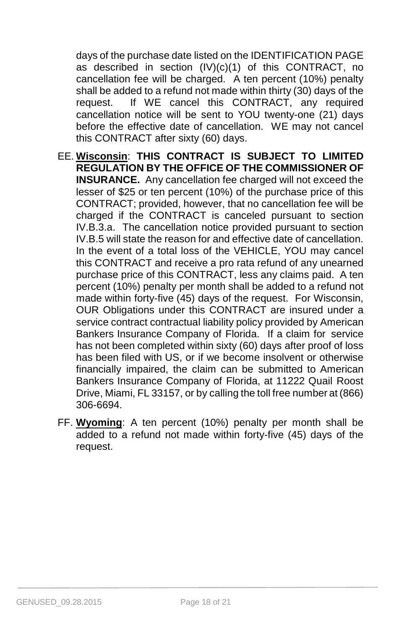days of the purchase date listed on the IDENTIFICATION PAGE as described in section (IV)(c)(1) of this CONTRACT, no cancellation fee will be charged. A ten percent (10%) penalty shall be added to a refund not made within thirty (30) days of the request. If WE cancel this CONTRACT, any required cancellation notice will be sent to YOU twenty-one (21) days before the effective date of cancellation. WE may not cancel this CONTRACT after sixty (60) days.

- EE. **Wisconsin**: **THIS CONTRACT IS SUBJECT TO LIMITED REGULATION BY THE OFFICE OF THE COMMISSIONER OF INSURANCE.** Any cancellation fee charged will not exceed the lesser of \$25 or ten percent (10%) of the purchase price of this CONTRACT; provided, however, that no cancellation fee will be charged if the CONTRACT is canceled pursuant to section IV.B.3.a. The cancellation notice provided pursuant to section IV.B.5 will state the reason for and effective date of cancellation. In the event of a total loss of the VEHICLE, YOU may cancel this CONTRACT and receive a pro rata refund of any unearned purchase price of this CONTRACT, less any claims paid. A ten percent (10%) penalty per month shall be added to a refund not made within forty-five (45) days of the request. For Wisconsin, OUR Obligations under this CONTRACT are insured under a service contract contractual liability policy provided by American Bankers Insurance Company of Florida. If a claim for service has not been completed within sixty (60) days after proof of loss has been filed with US, or if we become insolvent or otherwise financially impaired, the claim can be submitted to American Bankers Insurance Company of Florida, at 11222 Quail Roost Drive, Miami, FL 33157, or by calling the toll free number at (866) 306-6694.
- FF. **Wyoming**: A ten percent (10%) penalty per month shall be added to a refund not made within forty-five (45) days of the request.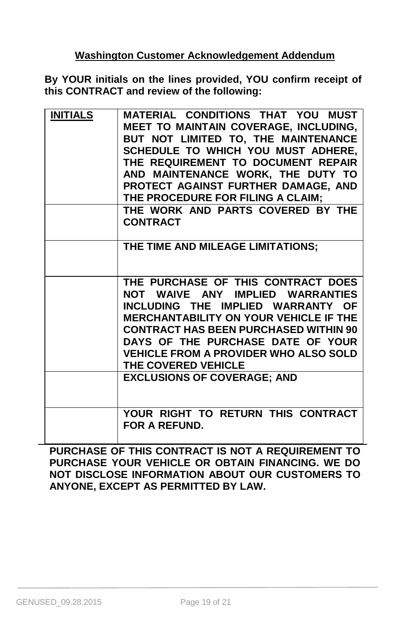## **Washington Customer Acknowledgement Addendum**

**By YOUR initials on the lines provided, YOU confirm receipt of this CONTRACT and review of the following:**

| <b>INITIALS</b> | MATERIAL CONDITIONS THAT YOU MUST<br>MEET TO MAINTAIN COVERAGE, INCLUDING,<br>BUT NOT LIMITED TO, THE MAINTENANCE<br>SCHEDULE TO WHICH YOU MUST ADHERE,<br>THE REQUIREMENT TO DOCUMENT REPAIR<br>AND MAINTENANCE WORK, THE DUTY TO<br>PROTECT AGAINST FURTHER DAMAGE, AND<br>THE PROCEDURE FOR FILING A CLAIM;<br>THE WORK AND PARTS COVERED BY THE<br><b>CONTRACT</b> |
|-----------------|------------------------------------------------------------------------------------------------------------------------------------------------------------------------------------------------------------------------------------------------------------------------------------------------------------------------------------------------------------------------|
|                 | THE TIME AND MILEAGE LIMITATIONS;                                                                                                                                                                                                                                                                                                                                      |
|                 | THE PURCHASE OF THIS CONTRACT DOES<br>NOT WAIVE ANY IMPLIED WARRANTIES<br>INCLUDING THE IMPLIED WARRANTY OF<br><b>MERCHANTABILITY ON YOUR VEHICLE IF THE</b><br><b>CONTRACT HAS BEEN PURCHASED WITHIN 90</b><br>DAYS OF THE PURCHASE DATE OF YOUR<br><b>VEHICLE FROM A PROVIDER WHO ALSO SOLD</b><br>THE COVERED VEHICLE<br><b>EXCLUSIONS OF COVERAGE; AND</b>         |
|                 |                                                                                                                                                                                                                                                                                                                                                                        |
|                 | YOUR RIGHT TO RETURN THIS CONTRACT<br>FOR A REFUND.                                                                                                                                                                                                                                                                                                                    |

**PURCHASE OF THIS CONTRACT IS NOT A REQUIREMENT TO PURCHASE YOUR VEHICLE OR OBTAIN FINANCING. WE DO NOT DISCLOSE INFORMATION ABOUT OUR CUSTOMERS TO ANYONE, EXCEPT AS PERMITTED BY LAW.**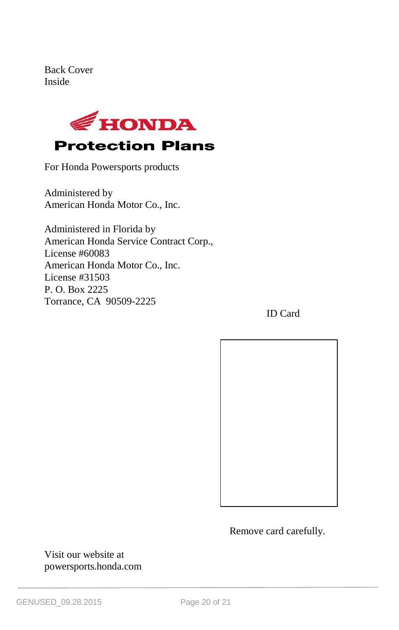Back Cover Inside



For Honda Powersports products

Administered by American Honda Motor Co., Inc.

Administered in Florida by American Honda Service Contract Corp., License #60083 American Honda Motor Co., Inc. License #31503 P. O. Box 2225 Torrance, CA 90509-2225

#### ID Card



### Remove card carefully.

Visit our website at powersports.honda.com